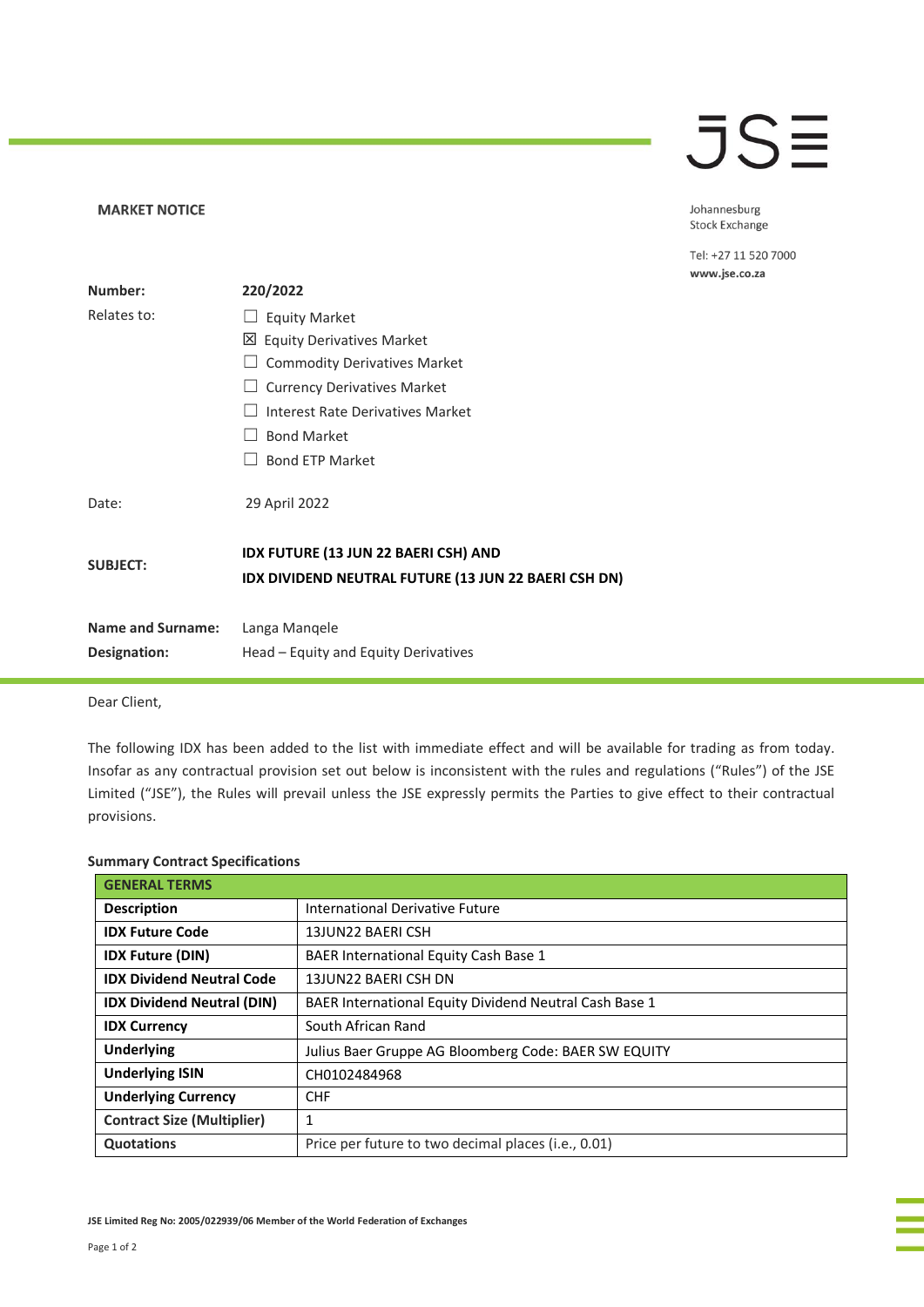## **JSE**

Johannesburg Stock Exchange

Tel: +27 11 520 7000 www.jse.co.za

| Number:                  | 220/2022                                                                                     |
|--------------------------|----------------------------------------------------------------------------------------------|
| Relates to:              | <b>Equity Market</b>                                                                         |
|                          | 凶 Equity Derivatives Market                                                                  |
|                          | <b>Commodity Derivatives Market</b>                                                          |
|                          | <b>Currency Derivatives Market</b>                                                           |
|                          | Interest Rate Derivatives Market                                                             |
|                          | <b>Bond Market</b>                                                                           |
|                          | <b>Bond ETP Market</b>                                                                       |
| Date:                    | 29 April 2022                                                                                |
| <b>SUBJECT:</b>          | IDX FUTURE (13 JUN 22 BAERI CSH) AND<br>IDX DIVIDEND NEUTRAL FUTURE (13 JUN 22 BAERI CSH DN) |
| <b>Name and Surname:</b> | Langa Mangele                                                                                |
| Designation:             | Head – Equity and Equity Derivatives                                                         |

Dear Client,

**MARKET NOTICE** 

The following IDX has been added to the list with immediate effect and will be available for trading as from today. Insofar as any contractual provision set out below is inconsistent with the rules and regulations ("Rules") of the JSE Limited ("JSE"), the Rules will prevail unless the JSE expressly permits the Parties to give effect to their contractual provisions.

|  |  | <b>Summary Contract Specifications</b> |
|--|--|----------------------------------------|
|--|--|----------------------------------------|

| <b>GENERAL TERMS</b>              |                                                              |
|-----------------------------------|--------------------------------------------------------------|
| <b>Description</b>                | International Derivative Future                              |
| <b>IDX Future Code</b>            | 13JUN22 BAERI CSH                                            |
| <b>IDX Future (DIN)</b>           | BAER International Equity Cash Base 1                        |
| <b>IDX Dividend Neutral Code</b>  | 13JUN22 BAERI CSH DN                                         |
| <b>IDX Dividend Neutral (DIN)</b> | BAER International Equity Dividend Neutral Cash Base 1       |
| <b>IDX Currency</b>               | South African Rand                                           |
| <b>Underlying</b>                 | Julius Baer Gruppe AG Bloomberg Code: BAER SW EQUITY         |
| <b>Underlying ISIN</b>            | CH0102484968                                                 |
| <b>Underlying Currency</b>        | <b>CHF</b>                                                   |
| <b>Contract Size (Multiplier)</b> | 1                                                            |
| Quotations                        | Price per future to two decimal places ( <i>i.e.</i> , 0.01) |